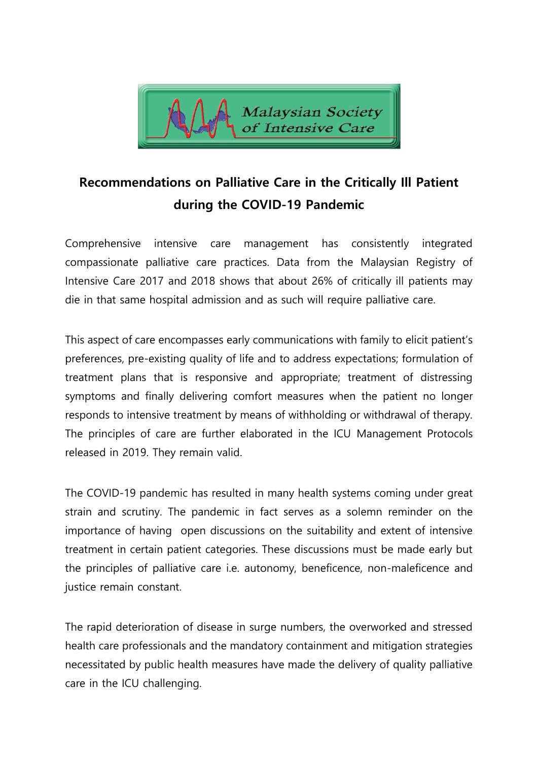

# **Recommendations on Palliative Care in the Critically Ill Patient during the COVID-19 Pandemic**

Comprehensive intensive care management has consistently integrated compassionate palliative care practices. Data from the Malaysian Registry of Intensive Care 2017 and 2018 shows that about 26% of critically ill patients may die in that same hospital admission and as such will require palliative care.

This aspect of care encompasses early communications with family to elicit patient's preferences, pre-existing quality of life and to address expectations; formulation of treatment plans that is responsive and appropriate; treatment of distressing symptoms and finally delivering comfort measures when the patient no longer responds to intensive treatment by means of withholding or withdrawal of therapy. The principles of care are further elaborated in the ICU Management Protocols released in 2019. They remain valid.

The COVID-19 pandemic has resulted in many health systems coming under great strain and scrutiny. The pandemic in fact serves as a solemn reminder on the importance of having open discussions on the suitability and extent of intensive treatment in certain patient categories. These discussions must be made early but the principles of palliative care i.e. autonomy, beneficence, non-maleficence and justice remain constant.

The rapid deterioration of disease in surge numbers, the overworked and stressed health care professionals and the mandatory containment and mitigation strategies necessitated by public health measures have made the delivery of quality palliative care in the ICU challenging.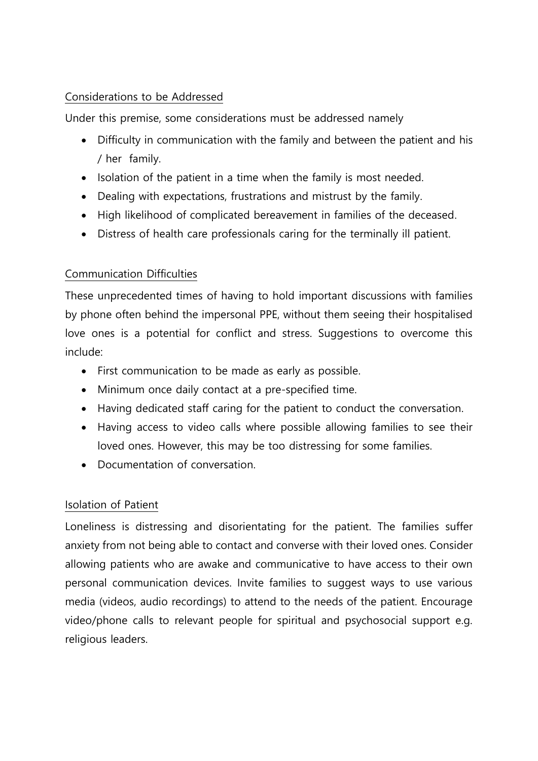## Considerations to be Addressed

Under this premise, some considerations must be addressed namely

- Difficulty in communication with the family and between the patient and his / her family.
- Isolation of the patient in a time when the family is most needed.
- Dealing with expectations, frustrations and mistrust by the family.
- High likelihood of complicated bereavement in families of the deceased.
- Distress of health care professionals caring for the terminally ill patient.

# Communication Difficulties

These unprecedented times of having to hold important discussions with families by phone often behind the impersonal PPE, without them seeing their hospitalised love ones is a potential for conflict and stress. Suggestions to overcome this include:

- First communication to be made as early as possible.
- Minimum once daily contact at a pre-specified time.
- Having dedicated staff caring for the patient to conduct the conversation.
- Having access to video calls where possible allowing families to see their loved ones. However, this may be too distressing for some families.
- Documentation of conversation.

# Isolation of Patient

Loneliness is distressing and disorientating for the patient. The families suffer anxiety from not being able to contact and converse with their loved ones. Consider allowing patients who are awake and communicative to have access to their own personal communication devices. Invite families to suggest ways to use various media (videos, audio recordings) to attend to the needs of the patient. Encourage video/phone calls to relevant people for spiritual and psychosocial support e.g. religious leaders.